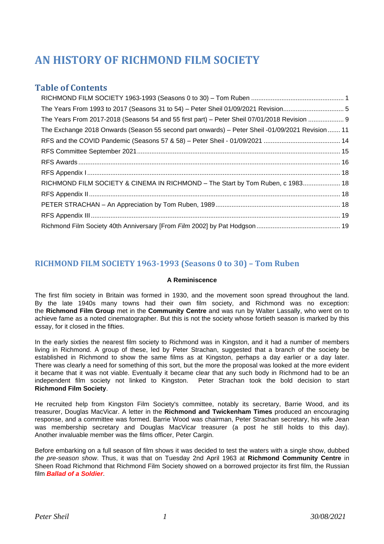# **AN HISTORY OF RICHMOND FILM SOCIETY**

# **Table of Contents**

# <span id="page-0-0"></span>**RICHMOND FILM SOCIETY 1963-1993 (Seasons 0 to 30) – Tom Ruben**

#### **A Reminiscence**

The first film society in Britain was formed in 1930, and the movement soon spread throughout the land. By the late 1940s many towns had their own film society, and Richmond was no exception: the **Richmond Film Group** met in the **Community Centre** and was run by Walter Lassally, who went on to achieve fame as a noted cinematographer. But this is not the society whose fortieth season is marked by this essay, for it closed in the fifties.

In the early sixties the nearest film society to Richmond was in Kingston, and it had a number of members living in Richmond. A group of these, led by Peter Strachan, suggested that a branch of the society be established in Richmond to show the same films as at Kingston, perhaps a day earlier or a day later. There was clearly a need for something of this sort, but the more the proposal was looked at the more evident it became that it was not viable. Eventually it became clear that any such body in Richmond had to be an independent film society not linked to Kingston. Peter Strachan took the bold decision to start **Richmond Film Society**.

He recruited help from Kingston Film Society's committee, notably its secretary, Barrie Wood, and its treasurer, Douglas MacVicar. A letter in the **Richmond and Twickenham Times** produced an encouraging response, and a committee was formed. Barrie Wood was chairman, Peter Strachan secretary, his wife Jean was membership secretary and Douglas MacVicar treasurer (a post he still holds to this day). Another invaluable member was the films officer, Peter Cargin.

Before embarking on a full season of film shows it was decided to test the waters with a single show, dubbed *the pre-season show*. Thus, it was that on Tuesday 2nd April 1963 at **Richmond Community Centre** in Sheen Road Richmond that Richmond Film Society showed on a borrowed projector its first film, the Russian film *Ballad of a Soldier*.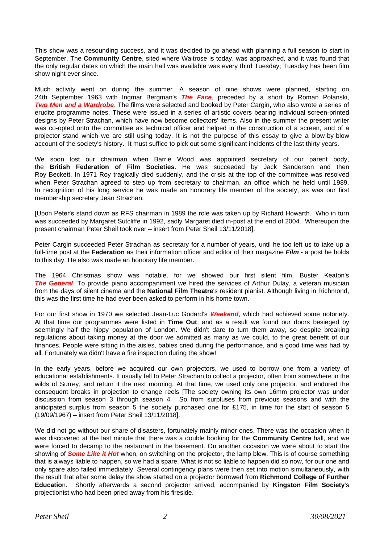This show was a resounding success, and it was decided to go ahead with planning a full season to start in September. The **Community Centre**, sited where Waitrose is today, was approached, and it was found that the only regular dates on which the main hall was available was every third Tuesday; Tuesday has been film show night ever since.

Much activity went on during the summer. A season of nine shows were planned, starting on 24th September 1963 with Ingmar Bergman's *The Face*, preceded by a short by Roman Polanski, *Two Men and a Wardrobe*. The films were selected and booked by Peter Cargin, who also wrote a series of erudite programme notes. These were issued in a series of artistic covers bearing individual screen-printed designs by Peter Strachan, which have now become collectors' items. Also in the summer the present writer was co-opted onto the committee as technical officer and helped in the construction of a screen, and of a projector stand which we are still using today. It is not the purpose of this essay to give a blow-by-blow account of the society's history. It must suffice to pick out some significant incidents of the last thirty years.

We soon lost our chairman when Barrie Wood was appointed secretary of our parent body, the **British Federation of Film Societies**. He was succeeded by Jack Sanderson and then Roy Beckett. In 1971 Roy tragically died suddenly, and the crisis at the top of the committee was resolved when Peter Strachan agreed to step up from secretary to chairman, an office which he held until 1989. In recognition of his long service he was made an honorary life member of the society, as was our first membership secretary Jean Strachan.

[Upon Peter's stand down as RFS chairman in 1989 the role was taken up by Richard Howarth. Who in turn was succeeded by Margaret Sutcliffe in 1992, sadly Margaret died in-post at the end of 2004. Whereupon the present chairman Peter Sheil took over – insert from Peter Sheil 13/11/2018].

Peter Cargin succeeded Peter Strachan as secretary for a number of years, until he too left us to take up a full-time post at the **Federation** as their information officer and editor of their magazine *Film* - a post he holds to this day. He also was made an honorary life member.

The 1964 Christmas show was notable, for we showed our first silent film, Buster Keaton's *The General*. To provide piano accompaniment we hired the services of Arthur Dulay, a veteran musician from the days of silent cinema and the **National Film Theatre**'s resident pianist. Although living in Richmond, this was the first time he had ever been asked to perform in his home town.

For our first show in 1970 we selected Jean-Luc Godard's *Weekend*, which had achieved some notoriety. At that time our programmes were listed in **Time Out**, and as a result we found our doors besieged by seemingly half the hippy population of London. We didn't dare to turn them away, so despite breaking regulations about taking money at the door we admitted as many as we could, to the great benefit of our finances. People were sitting in the aisles, babies cried during the performance, and a good time was had by all. Fortunately we didn't have a fire inspection during the show!

In the early years, before we acquired our own projectors, we used to borrow one from a variety of educational establishments. It usually fell to Peter Strachan to collect a projector, often from somewhere in the wilds of Surrey, and return it the next morning. At that time, we used only one projector, and endured the consequent breaks in projection to change reels [The society owning its own 16mm projector was under discussion from season 3 through season 4. So from surpluses from previous seasons and with the anticipated surplus from season 5 the society purchased one for £175, in time for the start of season 5 (19/09/1967) – insert from Peter Sheil 13/11/2018].

We did not go without our share of disasters, fortunately mainly minor ones. There was the occasion when it was discovered at the last minute that there was a double booking for the **Community Centre** hall, and we were forced to decamp to the restaurant in the basement. On another occasion we were about to start the showing of *Some Like it Hot* when, on switching on the projector, the lamp blew. This is of course something that is always liable to happen, so we had a spare. What is not so liable to happen did so now, for our one and only spare also failed immediately. Several contingency plans were then set into motion simultaneously, with the result that after some delay the show started on a projector borrowed from **Richmond College of Further Educatio**n. Shortly afterwards a second projector arrived, accompanied by **Kingston Film Society**'s projectionist who had been pried away from his fireside.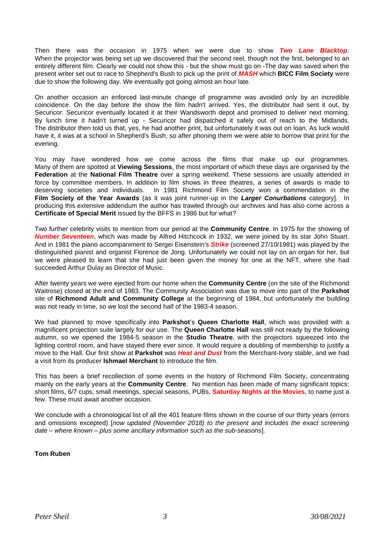Then there was the occasion in 1975 when we were due to show *Two Lane Blacktop*. When the projector was being set up we discovered that the second reel, though not the first, belonged to an entirely different film. Clearly we could not show this - but the show must go on -The day was saved when the present writer set out to race to Shepherd's Bush to pick up the print of *MASH* which **BICC Film Society** were due to show the following day. We eventually got going almost an hour late.

On another occasion an enforced last-minute change of programme was avoided only by an incredible coincidence. On the day before the show the film hadn't arrived. Yes, the distributor had sent it out, by Securicor. Securicor eventually located it at their Wandsworth depot and promised to deliver next morning. By lunch time it hadn't turned up - Securicor had dispatched it safely out of reach to the Midlands. The distributor then told us that, yes, he had another print, but unfortunately it was out on loan. As luck would have it, it was at a school in Shepherd's Bush, so after phoning them we were able to borrow that print for the evening.

You may have wondered how we come across the films that make up our programmes. Many of them are spotted at **Viewing Sessions**, the most important of which these days are organised by the **Federation** at the **National Film Theatre** over a spring weekend. These sessions are usually attended in force by committee members. In addition to film shows in three theatres, a series of awards is made to deserving societies and individuals. In 1981 Richmond Film Society won a commendation in the **Film Society of the Year Awards** (as it was joint runner-up in the *Larger Conurbations* category]. In producing this extensive addendum the author has trawled through our archives and has also come across a **Certificate of Special Merit** issued by the BFFS in 1986 but for what?

Two further celebrity visits to mention from our period at the **Community Centre**. In 1975 for the showing of *Number Seventeen*, which was made by Alfred Hitchcock in 1932, we were joined by its star John Stuart. And in 1981 the piano accompaniment to Sergei Eisenstein's *Strike* (screened 27/10/1981) was played by the distinguished pianist and organist Florence de Jong. Unfortunately we could not lay on an organ for her, but we were pleased to learn that she had just been given the money for one at the NFT, where she had succeeded Arthur Dulay as Director of Music.

After twenty years we were ejected from our home when the **Community Centre** (on the site of the Richmond Waitrose) closed at the end of 1983. The Community Association was due to move into part of the **Parkshot** site of **Richmond Adult and Community College** at the beginning of 1984, but unfortunately the building was not ready in time, so we lost the second half of the 1983-4 season.

We had planned to move specifically into **Parkshot**'s **Queen Charlotte Hall**, which was provided with a magnificent projection suite largely for our use. The **Queen Charlotte Hall** was still not ready by the following autumn, so we opened the 1984-5 season in the **Studio Theatre**, with the projectors squeezed into the lighting control room, and have stayed there ever since. It would require a doubling of membership to justify a move to the Hall. Our first show at **Parkshot** was *Heat and Dust* from the Merchant-Ivory stable, and we had a visit from its producer **Ishmael Merchant** to introduce the film.

This has been a brief recollection of some events in the history of Richmond Film Society, concentrating mainly on the early years at the **Community Centre**. No mention has been made of many significant topics: short films, 6/7 cups, small meetings, special seasons, PUBs, **Saturday Nights at the Movies**, to name just a few. These must await another occasion.

We conclude with a chronological list of all the 401 feature films shown in the course of our thirty years (errors and omissions excepted) [*now updated (November 2018) to the present and includes the exact screening date – where known – plus some ancillary information such as the sub-seasons*].

#### **Tom Ruben**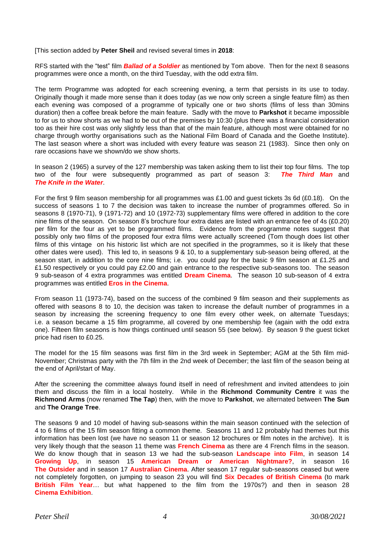[This section added by **Peter Sheil** and revised several times in **2018**:

RFS started with the "test" film *Ballad of a Soldier* as mentioned by Tom above. Then for the next 8 seasons programmes were once a month, on the third Tuesday, with the odd extra film.

The term Programme was adopted for each screening evening, a term that persists in its use to today. Originally though it made more sense than it does today (as we now only screen a single feature film) as then each evening was composed of a programme of typically one or two shorts (films of less than 30mins duration) then a coffee break before the main feature. Sadly with the move to **Parkshot** it became impossible to for us to show shorts as we had to be out of the premises by 10:30 (plus there was a financial consideration too as their hire cost was only slightly less than that of the main feature, although most were obtained for no charge through worthy organisations such as the National Film Board of Canada and the Goethe Institute). The last season where a short was included with every feature was season 21 (1983). Since then only on rare occasions have we shown/do we show shorts.

In season 2 (1965) a survey of the 127 membership was taken asking them to list their top four films. The top two of the four were subsequently programmed as part of season 3: *The Third Man* and *The Knife in the Water*.

For the first 9 film season membership for all programmes was £1.00 and guest tickets 3s 6d (£0.18). On the success of seasons 1 to 7 the decision was taken to increase the number of programmes offered. So in seasons 8 (1970-71), 9 (1971-72) and 10 (1972-73) supplementary films were offered in addition to the core nine films of the season. On season 8's brochure four extra dates are listed with an entrance fee of 4s (£0.20) per film for the four as yet to be programmed films. Evidence from the programme notes suggest that possibly only two films of the proposed four extra films were actually screened (Tom though does list other films of this vintage on his historic list which are not specified in the programmes, so it is likely that these other dates were used). This led to, in seasons 9 & 10, to a supplementary sub-season being offered, at the season start, in addition to the core nine films; i.e. you could pay for the basic 9 film season at £1.25 and £1.50 respectively or you could pay £2.00 and gain entrance to the respective sub-seasons too. The season 9 sub-season of 4 extra programmes was entitled **Dream Cinema**. The season 10 sub-season of 4 extra programmes was entitled **Eros in the Cinema**.

From season 11 (1973-74), based on the success of the combined 9 film season and their supplements as offered with seasons 8 to 10, the decision was taken to increase the default number of programmes in a season by increasing the screening frequency to one film every other week, on alternate Tuesdays; i.e. a season became a 15 film programme, all covered by one membership fee (again with the odd extra one). Fifteen film seasons is how things continued until season 55 (see below). By season 9 the guest ticket price had risen to £0.25.

The model for the 15 film seasons was first film in the 3rd week in September; AGM at the 5th film mid-November; Christmas party with the 7th film in the 2nd week of December; the last film of the season being at the end of April/start of May.

After the screening the committee always found itself in need of refreshment and invited attendees to join them and discuss the film in a local hostelry. While in the **Richmond Community Centre** it was the **Richmond Arms** (now renamed **The Tap**) then, with the move to **Parkshot**, we alternated between **The Sun** and **The Orange Tree**.

The seasons 9 and 10 model of having sub-seasons within the main season continued with the selection of 4 to 6 films of the 15 film season fitting a common theme. Seasons 11 and 12 probably had themes but this information has been lost (we have no season 11 or season 12 brochures or film notes in the archive). It is very likely though that the season 11 theme was **French Cinema** as there are 4 French films in the season. We do know though that in season 13 we had the sub-season **Landscape into Film**, in season 14 **Growing Up**, in season 15 **American Dream or American Nightmare?**, in season 16 **The Outsider** and in season 17 **Australian Cinema**. After season 17 regular sub-seasons ceased but were not completely forgotten, on jumping to season 23 you will find **Six Decades of British Cinema** (to mark **British Film Year**… but what happened to the film from the 1970s?) and then in season 28 **Cinema Exhibition**.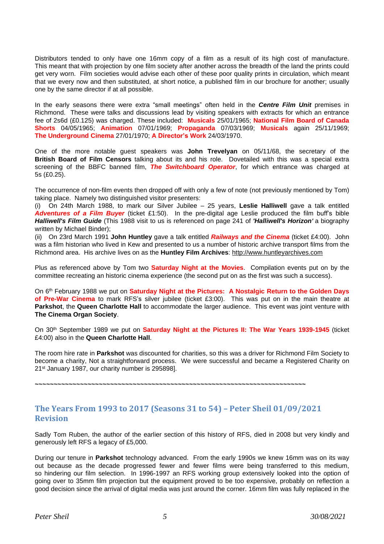Distributors tended to only have one 16mm copy of a film as a result of its high cost of manufacture. This meant that with projection by one film society after another across the breadth of the land the prints could get very worn. Film societies would advise each other of these poor quality prints in circulation, which meant that we every now and then substituted, at short notice, a published film in our brochure for another; usually one by the same director if at all possible.

In the early seasons there were extra "small meetings" often held in the *Centre Film Unit* premises in Richmond. These were talks and discussions lead by visiting speakers with extracts for which an entrance fee of 2s6d (£0.125) was charged. These included: **Musicals** 25/01/1965; **National Film Board of Canada Shorts** 04/05/1965; **Animation** 07/01/1969; **Propaganda** 07/03/1969; **Musicals** again 25/11/1969; **The Underground Cinema** 27/01/1970; **A Director's Work** 24/03/1970.

One of the more notable guest speakers was **John Trevelyan** on 05/11/68, the secretary of the **British Board of Film Censors** talking about its and his role. Dovetailed with this was a special extra screening of the BBFC banned film, *The Switchboard Operator*, for which entrance was charged at 5s (£0.25).

The occurrence of non-film events then dropped off with only a few of note (not previously mentioned by Tom) taking place. Namely two distinguished visitor presenters:

(i) On 24th March 1988, to mark our Silver Jubilee – 25 years, **Leslie Halliwell** gave a talk entitled *Adventures of a Film Buyer* (ticket £1:50). In the pre-digital age Leslie produced the film buff's bible *Halliwell's Film Guide* (This 1988 visit to us is referenced on page 241 of *'Halliwell's Horizon'* a biography written by Michael Binder);

(ii) On 23rd March 1991 **John Huntley** gave a talk entitled *Railways and the Cinema* (ticket £4:00). John was a film historian who lived in Kew and presented to us a number of historic archive transport films from the Richmond area. His archive lives on as the **Huntley Film Archives**: [http://www.huntleyarchives.com](http://www.huntleyarchives.com/)

Plus as referenced above by Tom two **Saturday Night at the Movies**. Compilation events put on by the committee recreating an historic cinema experience (the second put on as the first was such a success).

On 6 th February 1988 we put on **Saturday Night at the Pictures: A Nostalgic Return to the Golden Days of Pre-War Cinema** to mark RFS's silver jubilee (ticket £3:00). This was put on in the main theatre at **Parkshot**, the **Queen Charlotte Hall** to accommodate the larger audience. This event was joint venture with **The Cinema Organ Society**.

On 30th September 1989 we put on **Saturday Night at the Pictures II: The War Years 1939-1945** (ticket £4:00) also in the **Queen Charlotte Hall**.

The room hire rate in **Parkshot** was discounted for charities, so this was a driver for Richmond Film Society to become a charity, Not a straightforward process. We were successful and became a Registered Charity on 21st January 1987, our charity number is 295898].

**~~~~~~~~~~~~~~~~~~~~~~~~~~~~~~~~~~~~~~~~~~~~~~~~~~~~~~~~~~~~~~~~~~~~~~~~**

# <span id="page-4-0"></span>**The Years From 1993 to 2017 (Seasons 31 to 54) – Peter Sheil 01/09/2021 Revision**

Sadly Tom Ruben, the author of the earlier section of this history of RFS, died in 2008 but very kindly and generously left RFS a legacy of £5,000.

During our tenure in **Parkshot** technology advanced. From the early 1990s we knew 16mm was on its way out because as the decade progressed fewer and fewer films were being transferred to this medium, so hindering our film selection. In 1996-1997 an RFS working group extensively looked into the option of going over to 35mm film projection but the equipment proved to be too expensive, probably on reflection a good decision since the arrival of digital media was just around the corner. 16mm film was fully replaced in the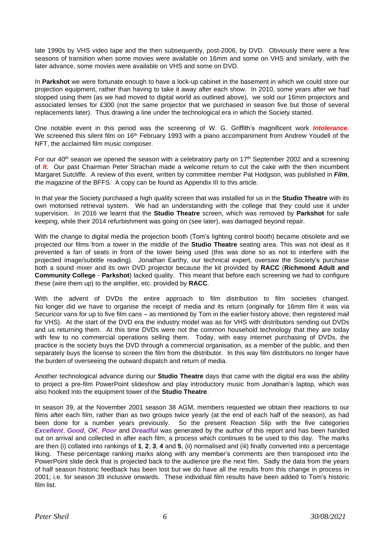late 1990s by VHS video tape and the then subsequently, post-2006, by DVD. Obviously there were a few seasons of transition when some movies were available on 16mm and some on VHS and similarly, with the later advance, some movies were available on VHS and some on DVD.

In **Parkshot** we were fortunate enough to have a lock-up cabinet in the basement in which we could store our projection equipment, rather than having to take it away after each show. In 2010, some years after we had stopped using them (as we had moved to digital world as outlined above), we sold our 16mm projectors and associated lenses for £300 (not the same projector that we purchased in season five but those of several replacements later). Thus drawing a line under the technological era in which the Society started.

One notable event in this period was the screening of W. G. Griffith's magnificent work *Intolerance*. We screened this silent film on 16<sup>th</sup> February 1993 with a piano accompaniment from Andrew Youdell of the NFT, the acclaimed film music composer.

For our  $40<sup>th</sup>$  season we opened the season with a celebratory party on 17<sup>th</sup> September 2002 and a screening of *It.* Our past Chairman Peter Strachan made a welcome return to cut the cake with the then incumbent Margaret Sutcliffe. A review of this event, written by committee member Pat Hodgson, was published in *Film*, the magazine of the BFFS. A copy can be found as Appendix III to this article.

In that year the Society purchased a high quality screen that was installed for us in the **Studio Theatre** with its own motorised retrieval system. We had an understanding with the college that they could use it under supervision. In 2016 we learnt that the **Studio Theatre** screen, which was removed by **Parkshot** for safe keeping, while their 2014 refurbishment was going on (see later), was damaged beyond repair.

With the change to digital media the projection booth (Tom's lighting control booth) became obsolete and we projected our films from a tower in the middle of the **Studio Theatre** seating area. This was not ideal as it prevented a fan of seats in front of the tower being used (this was done so as not to interfere with the projected image/subtitle reading). Jonathan Earthy, our technical expert, oversaw the Society's purchase both a sound mixer and its own DVD projector because the kit provided by **RACC** (**Richmond Adult and Community College** - **Parkshot**) lacked quality. This meant that before each screening we had to configure these (wire them up) to the amplifier, etc. provided by **RACC**.

With the advent of DVDs the entire approach to film distribution to film societies changed. No longer did we have to organise the receipt of media and its return (originally for 16mm film it was via Securicor vans for up to five film cans – as mentioned by Tom in the earlier history above; then registered mail for VHS). At the start of the DVD era the industry model was as for VHS with distributors sending out DVDs and us returning them. At this time DVDs were not the common household technology that they are today with few to no commercial operations selling them. Today, with easy internet purchasing of DVDs, the practice is the society buys the DVD through a commercial organisation, as a member of the public, and then separately buys the license to screen the film from the distributor. In this way film distributors no longer have the burden of overseeing the outward dispatch and return of media.

Another technological advance during our **Studio Theatre** days that came with the digital era was the ability to project a pre-film PowerPoint slideshow and play introductory music from Jonathan's laptop, which was also hooked into the equipment tower of the **Studio Theatre**.

In season 39, at the November 2001 season 38 AGM, members requested we obtain their reactions to our films after each film, rather than as two groups twice yearly (at the end of each half of the season), as had been done for a number years previously. So the present Reaction Slip with the five categories *Excellent*, *Good*, *OK*, *Poor* and *Dreadful* was generated by the author of this report and has been handed out on arrival and collected in after each film, a process which continues to be used to this day. The marks are then (i) collated into rankings of **1**, **2**, **3**, **4** and **5**, (ii) normalised and (iii) finally converted into a percentage liking. These percentage ranking marks along with any member's comments are then transposed into the PowerPoint slide deck that is projected back to the audience pre the next film. Sadly the data from the years of half season historic feedback has been lost but we do have all the results from this change in process in 2001; i.e. for season 39 inclusive onwards. These individual film results have been added to Tom's historic film list.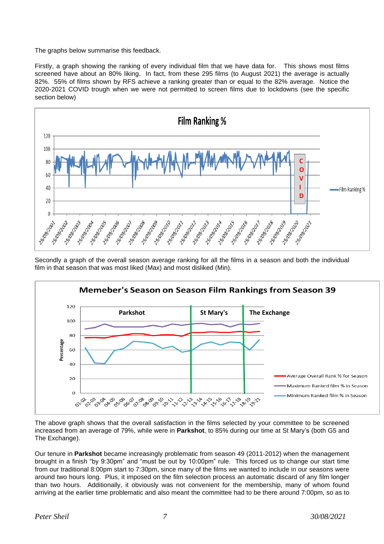The graphs below summarise this feedback.

Firstly, a graph showing the ranking of every individual film that we have data for. This shows most films screened have about an 80% liking. In fact, from these 295 films (to August 2021) the average is actually 82%. 55% of films shown by RFS achieve a ranking greater than or equal to the 82% average. Notice the 2020-2021 COVID trough when we were not permitted to screen films due to lockdowns (see the specific section below)



Secondly a graph of the overall season average ranking for all the films in a season and both the individual film in that season that was most liked (Max) and most disliked (Min).



The above graph shows that the overall satisfaction in the films selected by your committee to be screened increased from an average of 79%, while were in **Parkshot**, to 85% during our time at St Mary's (both G5 and The Exchange).

Our tenure in **Parkshot** became increasingly problematic from season 49 (2011-2012) when the management brought in a finish "by 9:30pm" and "must be out by 10:00pm" rule. This forced us to change our start time from our traditional 8:00pm start to 7:30pm, since many of the films we wanted to include in our seasons were around two hours long. Plus, it imposed on the film selection process an automatic discard of any film longer than two hours. Additionally, it obviously was not convenient for the membership, many of whom found arriving at the earlier time problematic and also meant the committee had to be there around 7:00pm, so as to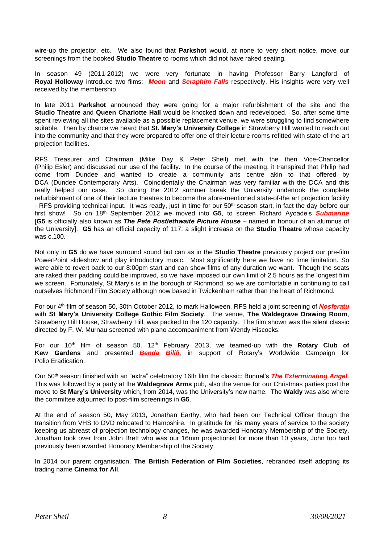wire-up the projector, etc. We also found that **Parkshot** would, at none to very short notice, move our screenings from the booked **Studio Theatre** to rooms which did not have raked seating.

In season 49 (2011-2012) we were very fortunate in having Professor Barry Langford of **Royal Holloway** introduce two films: *Moon* and *Seraphim Falls* respectively. His insights were very well received by the membership.

In late 2011 **Parkshot** announced they were going for a major refurbishment of the site and the **Studio Theatre** and **Queen Charlotte Hall** would be knocked down and redeveloped. So, after some time spent reviewing all the sites available as a possible replacement venue, we were struggling to find somewhere suitable. Then by chance we heard that **St. Mary's University College** in Strawberry Hill wanted to reach out into the community and that they were prepared to offer one of their lecture rooms refitted with state-of-the-art projection facilities.

RFS Treasurer and Chairman (Mike Day & Peter Sheil) met with the then Vice-Chancellor (Philip Esler) and discussed our use of the facility. In the course of the meeting, it transpired that Philip had come from Dundee and wanted to create a community arts centre akin to that offered by DCA (Dundee Contemporary Arts). Coincidentally the Chairman was very familiar with the DCA and this really helped our case. So during the 2012 summer break the University undertook the complete refurbishment of one of their lecture theatres to become the afore-mentioned state-of-the art projection facility - RFS providing technical input. It was ready, just in time for our 50<sup>th</sup> season start, in fact the day before our first show! So on 18th September 2012 we moved into **G5**, to screen Richard Ayoade's *Submarine* [**G5** is officially also known as *The Pete Postlethwaite Picture House* – named in honour of an alumnus of the University]. **G5** has an official capacity of 117, a slight increase on the **Studio Theatre** whose capacity was c.100.

Not only in **G5** do we have surround sound but can as in the **Studio Theatre** previously project our pre-film PowerPoint slideshow and play introductory music. Most significantly here we have no time limitation. So were able to revert back to our 8:00pm start and can show films of any duration we want. Though the seats are raked their padding could be improved, so we have imposed our own limit of 2.5 hours as the longest film we screen. Fortunately, St Mary's is in the borough of Richmond, so we are comfortable in continuing to call ourselves Richmond Film Society although now based in Twickenham rather than the heart of Richmond.

For our 4 th film of season 50, 30th October 2012, to mark Halloween, RFS held a joint screening of *Nosferatu* with **St Mary's University College Gothic Film Society**. The venue, **The Waldegrave Drawing Room**, Strawberry Hill House, Strawberry Hill, was packed to the 120 capacity. The film shown was the silent classic directed by F. W. Murnau screened with piano accompaniment from Wendy Hiscocks.

For our 10th film of season 50, 12th February 2013, we teamed-up with the **Rotary Club of Kew Gardens** and presented *Benda Bilili*, in support of Rotary's Worldwide Campaign for Polio Eradication.

Our 50th season finished with an "extra" celebratory 16th film the classic: Bunuel's *The Exterminating Angel*. This was followed by a party at the **Waldegrave Arms** pub, also the venue for our Christmas parties post the move to **St Mary's University** which, from 2014, was the University's new name. The **Waldy** was also where the committee adjourned to post-film screenings in **G5**.

At the end of season 50, May 2013, Jonathan Earthy, who had been our Technical Officer though the transition from VHS to DVD relocated to Hampshire. In gratitude for his many years of service to the society keeping us abreast of projection technology changes, he was awarded Honorary Membership of the Society. Jonathan took over from John Brett who was our 16mm projectionist for more than 10 years, John too had previously been awarded Honorary Membership of the Society.

In 2014 our parent organisation, **The British Federation of Film Societies**, rebranded itself adopting its trading name **Cinema for All**.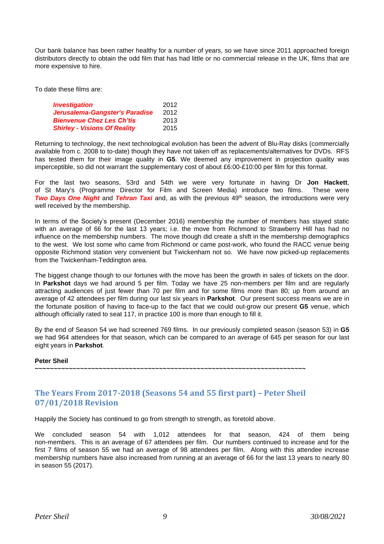Our bank balance has been rather healthy for a number of years, so we have since 2011 approached foreign distributors directly to obtain the odd film that has had little or no commercial release in the UK, films that are more expensive to hire.

To date these films are:

| <b>Investigation</b>                | 2012 |
|-------------------------------------|------|
| Jerusalema-Gangster's Paradise      | 2012 |
| <b>Bienvenue Chez Les Ch'tis</b>    | 2013 |
| <b>Shirley - Visions Of Reality</b> | 2015 |

Returning to technology, the next technological evolution has been the advent of Blu-Ray disks (commercially available from c. 2008 to to-date) though they have not taken off as replacements/alternatives for DVDs. RFS has tested them for their image quality in **G5**. We deemed any improvement in projection quality was imperceptible, so did not warrant the supplementary cost of about £6:00-£10:00 per film for this format.

For the last two seasons, 53rd and 54th we were very fortunate in having Dr **Jon Hackett**, of St Mary's (Programme Director for Film and Screen Media) introduce two films. These were *Two Days One Night* and *Tehran Taxi* and, as with the previous 49th season, the introductions were very well received by the membership.

In terms of the Society's present (December 2016) membership the number of members has stayed static with an average of 66 for the last 13 years; i.e. the move from Richmond to Strawberry Hill has had no influence on the membership numbers. The move though did create a shift in the membership demographics to the west. We lost some who came from Richmond or came post-work, who found the RACC venue being opposite Richmond station very convenient but Twickenham not so. We have now picked-up replacements from the Twickenham-Teddington area.

The biggest change though to our fortunes with the move has been the growth in sales of tickets on the door. In **Parkshot** days we had around 5 per film. Today we have 25 non-members per film and are regularly attracting audiences of just fewer than 70 per film and for some films more than 80; up from around an average of 42 attendees per film during our last six years in **Parkshot**. Our present success means we are in the fortunate position of having to face-up to the fact that we could out-grow our present **G5** venue, which although officially rated to seat 117, in practice 100 is more than enough to fill it.

By the end of Season 54 we had screened 769 films. In our previously completed season (season 53) in **G5** we had 964 attendees for that season, which can be compared to an average of 645 per season for our last eight years in **Parkshot**.

#### **Peter Sheil**

**~~~~~~~~~~~~~~~~~~~~~~~~~~~~~~~~~~~~~~~~~~~~~~~~~~~~~~~~~~~~~~~~~~~~~~~~**

# <span id="page-8-0"></span>**The Years From 2017-2018 (Seasons 54 and 55 first part) – Peter Sheil 07/01/2018 Revision**

Happily the Society has continued to go from strength to strength, as foretold above.

We concluded season 54 with 1,012 attendees for that season, 424 of them being non-members. This is an average of 67 attendees per film. Our numbers continued to increase and for the first 7 films of season 55 we had an average of 98 attendees per film. Along with this attendee increase membership numbers have also increased from running at an average of 66 for the last 13 years to nearly 80 in season 55 (2017).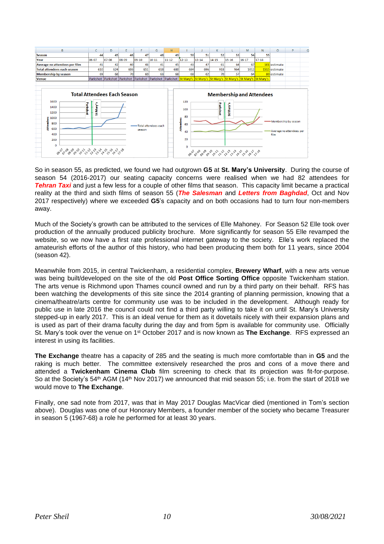

So in season 55, as predicted, we found we had outgrown **G5** at **St. Mary's University**. During the course of season 54 (2016-2017) our seating capacity concerns were realised when we had 82 attendees for *Tehran Taxi* and just a few less for a couple of other films that season. This capacity limit became a practical reality at the third and sixth films of season 55 (*The Salesman* and *Letters from Baghdad*, Oct and Nov 2017 respectively) where we exceeded **G5**'s capacity and on both occasions had to turn four non-members away.

Much of the Society's growth can be attributed to the services of Elle Mahoney. For Season 52 Elle took over production of the annually produced publicity brochure. More significantly for season 55 Elle revamped the website, so we now have a first rate professional internet gateway to the society. Elle's work replaced the amateurish efforts of the author of this history, who had been producing them both for 11 years, since 2004 (season 42).

Meanwhile from 2015, in central Twickenham, a residential complex, **Brewery Wharf**, with a new arts venue was being built/developed on the site of the old **Post Office Sorting Office** opposite Twickenham station. The arts venue is Richmond upon Thames council owned and run by a third party on their behalf. RFS has been watching the developments of this site since the 2014 granting of planning permission, knowing that a cinema/theatre/arts centre for community use was to be included in the development. Although ready for public use in late 2016 the council could not find a third party willing to take it on until St. Mary's University stepped-up in early 2017. This is an ideal venue for them as it dovetails nicely with their expansion plans and is used as part of their drama faculty during the day and from 5pm is available for community use. Officially St. Mary's took over the venue on 1<sup>st</sup> October 2017 and is now known as **The Exchange**. RFS expressed an interest in using its facilities.

**The Exchange** theatre has a capacity of 285 and the seating is much more comfortable than in **G5** and the raking is much better. The committee extensively researched the pros and cons of a move there and attended a **Twickenham Cinema Club** film screening to check that its projection was fit-for-purpose. So at the Society's 54<sup>th</sup> AGM (14<sup>th</sup> Nov 2017) we announced that mid season 55; i.e. from the start of 2018 we would move to **The Exchange**.

Finally, one sad note from 2017, was that in May 2017 Douglas MacVicar died (mentioned in Tom's section above). Douglas was one of our Honorary Members, a founder member of the society who became Treasurer in season 5 (1967-68) a role he performed for at least 30 years.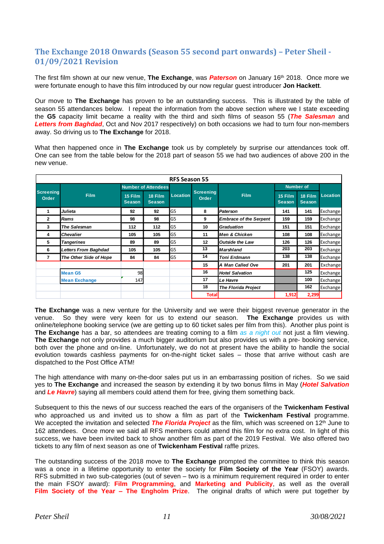# <span id="page-10-0"></span>**The Exchange 2018 Onwards (Season 55 second part onwards) – Peter Sheil - 01/09/2021 Revision**

The first film shown at our new venue, **The Exchange**, was *Paterson* on January 16th 2018. Once more we were fortunate enough to have this film introduced by our now regular guest introducer **Jon Hackett**.

Our move to **The Exchange** has proven to be an outstanding success. This is illustrated by the table of season 55 attendances below. I repeat the information from the above section where we I state exceeding the **G5** capacity limit became a reality with the third and sixth films of season 55 (*The Salesman* and *Letters from Baghdad*, Oct and Nov 2017 respectively) on both occasions we had to turn four non-members away. So driving us to **The Exchange** for 2018.

What then happened once in **The Exchange** took us by completely by surprise our attendances took off. One can see from the table below for the 2018 part of season 55 we had two audiences of above 200 in the new venue.

| <b>RFS Season 55</b>      |                        |                          |                            |                 |                           |                               |                          |                          |                 |  |  |
|---------------------------|------------------------|--------------------------|----------------------------|-----------------|---------------------------|-------------------------------|--------------------------|--------------------------|-----------------|--|--|
| <b>Screening</b><br>Order | <b>Film</b>            |                          | <b>Number of Attendees</b> |                 |                           |                               | <b>Number of</b>         |                          |                 |  |  |
|                           |                        | 15 Film<br><b>Season</b> | 18 Film<br>Season,         | <b>Location</b> | <b>Screening</b><br>Order | <b>Film</b>                   | 15 Film<br><b>Season</b> | 18 Film<br><b>Season</b> | <b>Location</b> |  |  |
| 1                         | Julieta                | 92                       | 92                         | G5              | 8                         | Paterson                      | 141                      | 141                      | Exchange        |  |  |
| $\mathbf{2}$              | Rams                   | 98                       | 98                         | G5              | 9                         | <b>Embrace of the Serpent</b> | 159                      | 159                      | Exchange        |  |  |
| 3                         | <b>The Salesman</b>    | 112                      | 112                        | G5              | 10                        | <b>Graduation</b>             | 151                      | 151                      | Exchange        |  |  |
| 4                         | <b>Chevalier</b>       | 105                      | 105                        | G5              | 11                        | <b>Men &amp; Chicken</b>      | 108                      | 108                      | Exchange        |  |  |
| 5                         | <b>Tangerines</b>      | 89                       | 89                         | G5              | 12                        | <b>Outside the Law</b>        | 126                      | 126                      | Exchange        |  |  |
| 6                         | Letters From Baghdad   | 105                      | 105                        | G5              | 13                        | <b>Marshland</b>              | 203                      | 203                      | Exchange        |  |  |
| 7                         | The Other Side of Hope | 84                       | 84                         | G5              | 14                        | <b>Toni Erdmann</b>           | 138                      | 138                      | Exchange        |  |  |
|                           |                        |                          |                            |                 | 15                        | A Man Called Ove              | 201                      | 201                      | Exchange        |  |  |
|                           | <b>Mean G5</b>         | 98                       |                            |                 | 16                        | <b>Hotel Salvation</b>        |                          | 125                      | Exchange        |  |  |
|                           | <b>Mean Exchange</b>   | 147                      |                            |                 | 17                        | Le Havre                      |                          | 100                      | Exchange        |  |  |
|                           |                        |                          |                            |                 | 18                        | <b>The Florida Project</b>    |                          | 162                      | Exchange        |  |  |
|                           |                        |                          |                            | <b>Total</b>    |                           | 1,912                         | 2,299                    |                          |                 |  |  |

**The Exchange** was a new venture for the University and we were their biggest revenue generator in the venue. So they were very keen for us to extend our season. **The Exchange** provides us with online/telephone booking service (we are getting up to 60 ticket sales per film from this). Another plus point is **The Exchange** has a bar, so attendees are treating coming to a film *as a night out* not just a film viewing. **The Exchange** not only provides a much bigger auditorium but also provides us with a pre- booking service, both over the phone and on-line. Unfortunately, we do not at present have the ability to handle the social evolution towards cashless payments for on-the-night ticket sales – those that arrive without cash are dispatched to the Post Office ATM!

The high attendance with many on-the-door sales put us in an embarrassing position of riches. So we said yes to **The Exchange** and increased the season by extending it by two bonus films in May (*Hotel Salvation* and *Le Havre*) saying all members could attend them for free, giving them something back.

Subsequent to this the news of our success reached the ears of the organisers of the **Twickenham Festival** who approached us and invited us to show a film as part of the **Twickenham Festival** programme. We accepted the invitation and selected **The Florida Project** as the film, which was screened on 12<sup>th</sup> June to 162 attendees. Once more we said all RFS members could attend this film for no extra cost. In light of this success, we have been invited back to show another film as part of the 2019 Festival. We also offered two tickets to any film of next season as one of **Twickenham Festival** raffle prizes.

The outstanding success of the 2018 move to **The Exchange** prompted the committee to think this season was a once in a lifetime opportunity to enter the society for **Film Society of the Year** (FSOY) awards. RFS submitted in two sub-categories (out of seven – two is a minimum requirement required in order to enter the main FSOY award): **Film Programming**, and **Marketing and Publicity**, as well as the overall **Film Society of the Year – The Engholm Prize**. The original drafts of which were put together by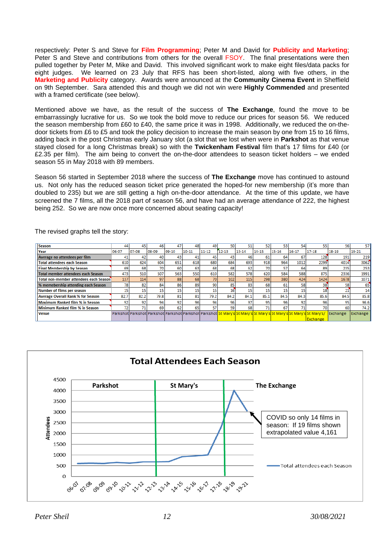respectively: Peter S and Steve for **Film Programming**; Peter M and David for **Publicity and Marketing**; Peter S and Steve and contributions from others for the overall FSOY. The final presentations were then pulled together by Peter M, Mike and David. This involved significant work to make eight files/data packs for eight judges. We learned on 23 July that RFS has been short-listed, along with five others, in the **Marketing and Publicity** category. Awards were announced at the **Community Cinema Event** in Sheffield on 9th September. Sara attended this and though we did not win were **Highly Commended** and presented with a framed certificate (see below).

Mentioned above we have, as the result of the success of **The Exchange**, found the move to be embarrassingly lucrative for us. So we took the bold move to reduce our prices for season 56. We reduced the season membership from £60 to £40, the same price it was in 1998. Additionally, we reduced the on-thedoor tickets from £6 to £5 and took the policy decision to increase the main season by one from 15 to 16 films, adding back in the post Christmas early January slot (a slot that we lost when were in **Parkshot** as that venue stayed closed for a long Christmas break) so with the **Twickenham Festival** film that's 17 films for £40 (or £2.35 per film). The aim being to convert the on-the-door attendees to season ticket holders – we ended season 55 in May 2018 with 89 members.

Season 56 started in September 2018 where the success of **The Exchange** move has continued to astound us. Not only has the reduced season ticket price generated the hoped-for new membership (it's more than doubled to 235) but we are still getting a high on-the-door attendance. At the time of this update, we have screened the 7 films, all the 2018 part of season 56, and have had an average attendance of 222, the highest being 252. So we are now once more concerned about seating capacity!

| <b>Season</b>                                 | 44    | 45    | 46    |       | 48        | 49        | 50    |       | 52        | 53               | 54              |                                                                                                                             | 56        | 57        |
|-----------------------------------------------|-------|-------|-------|-------|-----------|-----------|-------|-------|-----------|------------------|-----------------|-----------------------------------------------------------------------------------------------------------------------------|-----------|-----------|
| Year                                          | 06-07 | 07-08 | 08-09 | 09-10 | $10 - 11$ | $11 - 12$ | 12-13 | 13-14 | $14 - 15$ | $15 - 16$        | $16 - 17$       | $17 - 18$                                                                                                                   | $18 - 19$ | $19 - 21$ |
| Average no attendees per film                 | 41    | 42    | 40    | 43    | 41        | 45        |       | 46    | 61        | 64               | 67              | 128                                                                                                                         | 191       | 219       |
| <b>Total attendees each Season</b>            | 610   | 624   | 604   | 651   | 618       | 680       | 684   | 693   | 918       | 964              | 1012            | 2299                                                                                                                        | 4014      | 3062      |
| <b>Final Membership by Season</b>             | 69    | 68    | 70    | 60    | 63        | 68        | 68    | 62    | 70        | 57               | 64              | 89                                                                                                                          | 235       | 253       |
| Total member attendees each Season            | 473   | 510   | 507   | 563   | 550       | 610       | 582   | 578   | 620       | 584              | 588             | 875                                                                                                                         | 2336      | 1991      |
| <b>Total non-member attendees each Season</b> | 137   | 114   | 97    | 88    | 68        | 70        | 102   | 115   | 298       | 380 <sup>1</sup> | 424             | 1424                                                                                                                        | 1678      | 1071      |
| % memebership attending each Season           | 78    | 82    | 84    | 86    | 89        | 90        | 85    | 83    | 68        | 61               | 58              | 38                                                                                                                          | 58        | 65        |
| Number of films per season                    | 15    | 15    | 15    | 15    | 15        | 15        | 16    |       | 15        | 15               | 15              |                                                                                                                             | 21        | 14        |
| <b>Average Overall Rank % for Season</b>      | 82.7  | 82.2  | 79.8  | 81    | 81        | 79.2      | 84.2  | 84.1  | 85.1      | 84.5             | 84.3            | 85.6                                                                                                                        | 84.5      | 85.8      |
| Maximum Ranked film % in Season               | 92    | 92    | 94    | 92    | 96        | 94        | 96    | 97    | 95        | 961              | 92 <sub>1</sub> | 96                                                                                                                          | 95        | 96.6      |
| Minimum Ranked film % in Season               |       | 71    | 69    | 62    | 65        | 57        | 59    | 68    | 71        | 67               |                 |                                                                                                                             | 60        | 74.2      |
| <b>Venue</b>                                  |       |       |       |       |           |           |       |       |           |                  |                 | Parkshot Parkshot Parkshot Parkshot Parkshot Parkshot St Mary's St Mary's St Mary's St Mary's St Mary's St Mary's St Mary's | Exchange  | Exchange  |
|                                               |       |       |       |       |           |           |       |       |           |                  |                 | Exchange                                                                                                                    |           |           |

The revised graphs tell the story:

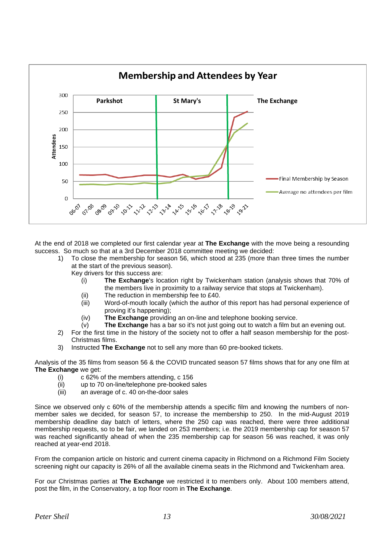

At the end of 2018 we completed our first calendar year at **The Exchange** with the move being a resounding success. So much so that at a 3rd December 2018 committee meeting we decided:

1) To close the membership for season 56, which stood at 235 (more than three times the number at the start of the previous season).

Key drivers for this success are:

- (i) **The Exchange**'s location right by Twickenham station (analysis shows that 70% of the members live in proximity to a railway service that stops at Twickenham).
- (ii) The reduction in membership fee to £40.
- (iii) Word-of-mouth locally (which the author of this report has had personal experience of proving it's happening);
- (iv) **The Exchange** providing an on-line and telephone booking service.
- (v) **The Exchange** has a bar so it's not just going out to watch a film but an evening out.
- 2) For the first time in the history of the society not to offer a half season membership for the post-Christmas films.
- 3) Instructed **The Exchange** not to sell any more than 60 pre-booked tickets.

Analysis of the 35 films from season 56 & the COVID truncated season 57 films shows that for any one film at **The Exchange** we get:

- (i) c 62% of the members attending, c 156
- (ii) up to 70 on-line/telephone pre-booked sales
- (iii) an average of c. 40 on-the-door sales

Since we observed only c 60% of the membership attends a specific film and knowing the numbers of nonmember sales we decided, for season 57, to increase the membership to 250. In the mid-August 2019 membership deadline day batch of letters, where the 250 cap was reached, there were three additional membership requests, so to be fair, we landed on 253 members; i.e. the 2019 membership cap for season 57 was reached significantly ahead of when the 235 membership cap for season 56 was reached, it was only reached at year-end 2018.

From the companion article on historic and current cinema capacity in Richmond on a Richmond Film Society screening night our capacity is 26% of all the available cinema seats in the Richmond and Twickenham area.

For our Christmas parties at **The Exchange** we restricted it to members only. About 100 members attend, post the film, in the Conservatory, a top floor room in **The Exchange**.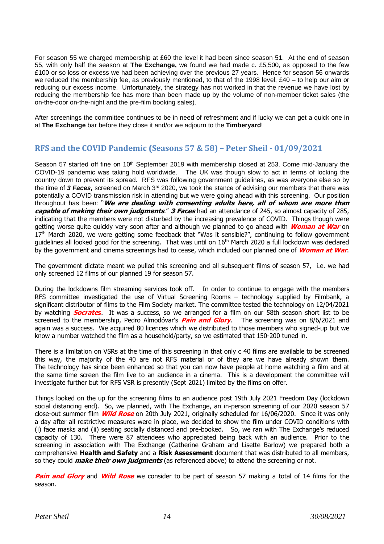For season 55 we charged membership at £60 the level it had been since season 51. At the end of season 55, with only half the season at **The Exchange,** we found we had made c. £5,500, as opposed to the few £100 or so loss or excess we had been achieving over the previous 27 years. Hence for season 56 onwards we reduced the membership fee, as previously mentioned, to that of the 1998 level, £40 – to help our aim or reducing our excess income. Unfortunately, the strategy has not worked in that the revenue we have lost by reducing the membership fee has more than been made up by the volume of non-member ticket sales (the on-the-door on-the-night and the pre-film booking sales).

After screenings the committee continues to be in need of refreshment and if lucky we can get a quick one in at **The Exchange** bar before they close it and/or we adjourn to the **Timberyard**!

# <span id="page-13-0"></span>**RFS and the COVID Pandemic (Seasons 57 & 58) – Peter Sheil - 01/09/2021**

Season 57 started off fine on 10<sup>th</sup> September 2019 with membership closed at 253, Come mid-January the COVID-19 pandemic was taking hold worldwide. The UK was though slow to act in terms of locking the country down to prevent its spread. RFS was following government guidelines, as was everyone else so by the time of *3 Faces,* screened on March 3<sup>rd</sup> 2020, we took the stance of advising our members that there was potentially a COVID transmission risk in attending but we were going ahead with this screening. Our position throughout has been: "**We are dealing with consenting adults here, all of whom are more than capable of making their own judgments**." **3 Faces** had an attendance of 245, so almost capacity of 285, indicating that the members were not disturbed by the increasing prevalence of COVID. Things though were getting worse quite quickly very soon after and although we planned to go ahead with **Woman at War** on 17<sup>th</sup> March 2020, we were getting some feedback that "Was it sensible?", continuing to follow government guidelines all looked good for the screening. That was until on 16<sup>th</sup> March 2020 a full lockdown was declared by the government and cinema screenings had to cease, which included our planned one of **Woman at War**.

The government dictate meant we pulled this screening and all subsequent films of season 57, i.e. we had only screened 12 films of our planned 19 for season 57.

During the lockdowns film streaming services took off. In order to continue to engage with the members RFS committee investigated the use of Virtual Screening Rooms – technology supplied by Filmbank, a significant distributor of films to the Film Society market. The committee tested the technology on 12/04/2021 by watching **Socrates**. It was a success, so we arranged for a film on our 58th season short list to be screened to the membership, Pedro Almodóvar's **Pain and Glory**. The screening was on 8/6/2021 and again was a success. We acquired 80 licences which we distributed to those members who signed-up but we know a number watched the film as a household/party, so we estimated that 150-200 tuned in.

There is a limitation on VSRs at the time of this screening in that only c 40 films are available to be screened this way, the majority of the 40 are not RFS material or of they are we have already shown them. The technology has since been enhanced so that you can now have people at home watching a film and at the same time screen the film live to an audience in a cinema. This is a development the committee will investigate further but for RFS VSR is presently (Sept 2021) limited by the films on offer.

Things looked on the up for the screening films to an audience post 19th July 2021 Freedom Day (lockdown social distancing end). So, we planned, with The Exchange, an in-person screening of our 2020 season 57 close-out summer film **Wild Rose** on 20th July 2021, originally scheduled for 16/06/2020. Since it was only a day after all restrictive measures were in place, we decided to show the film under COVID conditions with (i) face masks and (ii) seating socially distanced and pre-booked. So, we ran with The Exchange's reduced capacity of 130. There were 87 attendees who appreciated being back with an audience. Prior to the screening in association with The Exchange (Catherine Graham and Lisette Barlow) we prepared both a comprehensive **Health and Safety** and a **Risk Assessment** document that was distributed to all members, so they could **make their own judgments** (as referenced above) to attend the screening or not.

**Pain and Glory** and **Wild Rose** we consider to be part of season 57 making a total of 14 films for the season.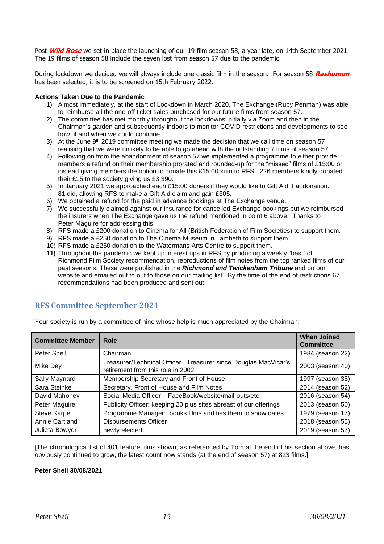Post **Wild Rose** we set in place the launching of our 19 film season 58, a year late, on 14th September 2021. The 19 films of season 58 include the seven lost from season 57 due to the pandemic.

During lockdown we decided we will always include one classic film in the season. For season 58 **Rashomon** has been selected, it is to be screened on 15th February 2022.

#### **Actions Taken Due to the Pandemic**

- 1) Almost immediately, at the start of Lockdown in March 2020, The Exchange (Ruby Penman) was able to reimburse all the one-off ticket sales purchased for our future films from season 57.
- 2) The committee has met monthly throughout the lockdowns initially via Zoom and then in the Chairman's garden and subsequently indoors to monitor COVID restrictions and developments to see how, if and when we could continue.
- 3) At the June 9<sup>th</sup> 2019 committee meeting we made the decision that we call time on season 57 realising that we were unlikely to be able to go ahead with the outstanding 7 films of season 57.
- 4) Following on from the abandonment of season 57 we implemented a programme to either provide members a refund on their membership prorated and rounded-up for the "missed" films of £15:00 or instead giving members the option to donate this £15:00 sum to RFS. 226 members kindly donated their £15 to the society giving us £3,390.
- 5) In January 2021 we approached each £15:00 doners if they would like to Gift Aid that donation. 81 did, allowing RFS to make a Gift Aid claim and gain £305.
- 6) We obtained a refund for the paid in advance bookings at The Exchange venue.
- 7) We successfully claimed against our insurance for cancelled Exchange bookings but we reimbursed the insurers when The Exchange gave us the refund mentioned in point 6 above. Thanks to Peter Maguire for addressing this.
- 8) RFS made a £200 donation to Cinema for All (British Federation of Film Societies) to support them.
- 9) RFS made a £250 donation to The Cinema Museum in Lambeth to support them.
- 10) RFS made a £250 donation to the Watermans Arts Centre to support them.
- **11)** Throughout the pandemic we kept up interest ups in RFS by producing a weekly "best" of Richmond Film Society recommendation, reproductions of film notes from the top ranked films of our past seasons. These were published in the *Richmond and Twickenham Tribune* and on our website and emailed out to out to those on our mailing list. By the time of the end of restrictions 67 recommendations had been produced and sent out.

# <span id="page-14-0"></span>**RFS Committee September 2021**

| <b>Committee Member</b> | Role                                                                                                 | <b>When Joined</b><br><b>Committee</b> |
|-------------------------|------------------------------------------------------------------------------------------------------|----------------------------------------|
| Peter Sheil             | Chairman                                                                                             | 1984 (season 22)                       |
| Mike Day                | Treasurer/Technical Officer. Treasurer since Douglas MacVicar's<br>retirement from this role in 2002 | 2003 (season 40)                       |
| Sally Maynard           | Membership Secretary and Front of House                                                              | 1997 (season 35)                       |
| Sara Steinke            | Secretary, Front of House and Film Notes                                                             | 2014 (season 52)                       |
| David Mahoney           | Social Media Officer - FaceBook/website/mail-outs/etc.                                               | 2016 (season 54)                       |
| Peter Maguire           | Publicity Officer: keeping 20 plus sites abreast of our offerings                                    | 2013 (season 50)                       |
| <b>Steve Karpel</b>     | Programme Manager: books films and ties them to show dates                                           | 1979 (season 17)                       |
| Annie Cartland          | <b>Disbursements Officer</b>                                                                         | 2018 (season 55)                       |
| Julieta Bowyer          | newly elected                                                                                        | 2019 (season 57)                       |

Your society is run by a committee of nine whose help is much appreciated by the Chairman:

[The chronological list of 401 feature films shown, as referenced by Tom at the end of his section above, has obviously continued to grow, the latest count now stands (at the end of season 57) at 823 films.]

#### **Peter Sheil 30/08/2021**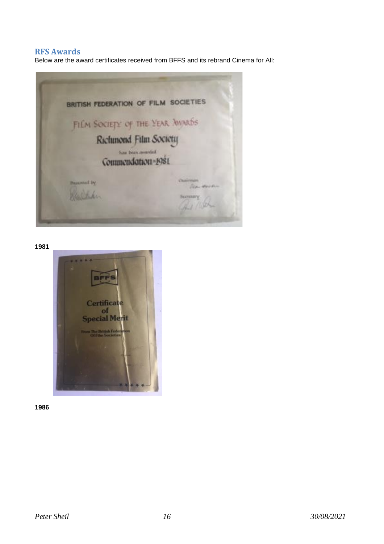### <span id="page-15-0"></span>**RFS Awards**

Below are the award certificates received from BFFS and its rebrand Cinema for All:



**1981**



**1986**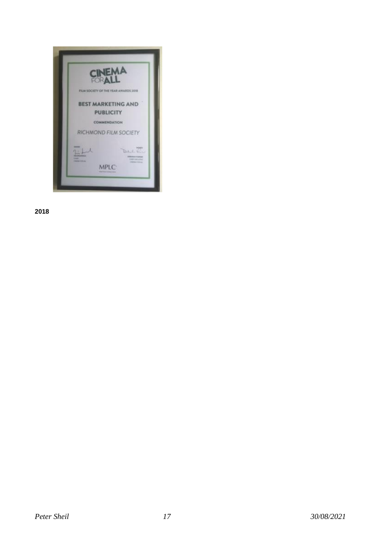

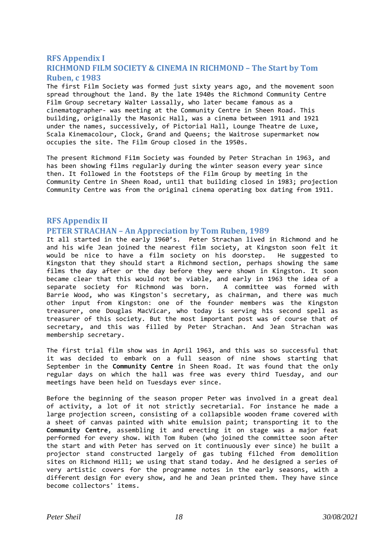### <span id="page-17-1"></span><span id="page-17-0"></span>**RFS Appendix I RICHMOND FILM SOCIETY & CINEMA IN RICHMOND – The Start by Tom Ruben, c 1983**

The first Film Society was formed just sixty years ago, and the movement soon spread throughout the land. By the late 1940s the Richmond Community Centre Film Group secretary Walter Lassally, who later became famous as a cinematographer- was meeting at the Community Centre in Sheen Road. This building, originally the Masonic Hall, was a cinema between 1911 and 1921 under the names, successively, of Pictorial Hall, Lounge Theatre de Luxe, Scala Kinemacolour, Clock, Grand and Queens; the Waitrose supermarket now occupies the site. The Film Group closed in the 1950s.

The present Richmond Fi1m Society was founded by Peter Strachan in 1963, and has been showing films regularly during the winter season every year since then. It followed in the footsteps of the Film Group by meeting in the Community Centre in Sheen Road, until that building closed in 1983; projection Community Centre was from the original cinema operating box dating from 1911.

# <span id="page-17-3"></span><span id="page-17-2"></span>**RFS Appendix II PETER STRACHAN – An Appreciation by Tom Ruben, 1989**

It all started in the early 1960's. Peter Strachan lived in Richmond and he and his wife Jean joined the nearest film society, at Kingston soon felt it would be nice to have a film society on his doorstep. He suggested to Kingston that they should start a Richmond section, perhaps showing the same films the day after or the day before they were shown in Kingston. It soon became clear that this would not be viable, and early in 1963 the idea of a separate society for Richmond was born. A committee was formed with Barrie Wood, who was Kingston's secretary, as chairman, and there was much other input from Kingston: one of the founder members was the Kingston treasurer, one Douglas MacVicar, who today is serving h1s second spell as treasurer of this society. But the most important post was of course that of secretary, and this was filled by Peter Strachan. And Jean Strachan was membership secretary.

The first trial film show was in April 1963, and this was so successful that it was decided to embark on a full season of nine shows starting that September in the **Community Centre** in Sheen Road. It was found that the only regular days on which the hall was free was every third Tuesday, and our meetings have been held on Tuesdays ever since.

Before the beginning of the season proper Peter was involved in a great deal of activity, a lot of it not strictly secretarial. For instance he made a large projection screen, consisting of a collapsible wooden frame covered with a sheet of canvas painted with white emulsion paint; transporting it to the **Community Centre**, assembling it and erecting it on stage was a major feat performed for every show. With Tom Ruben (who joined the committee soon after the start and with Peter has served on it continuously ever since) he built a projector stand constructed largely of gas tubing filched from demolition sites on Richmond Hill; we using that stand today. And he designed a series of very artistic covers for the programme notes in the early seasons, with a different design for every show, and he and Jean printed them. They have since become collectors' items.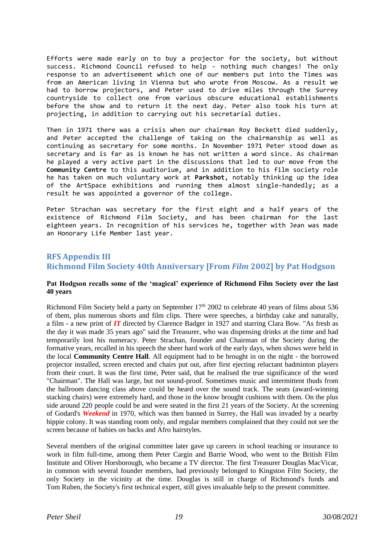Efforts were made early on to buy a projector for the society, but without success. Richmond Council refused to help - nothing much changes! The only response to an advertisement which one of our members put into the Times was from an American living in Vienna but who wrote from Moscow. As a result we had to borrow projectors, and Peter used to drive miles through the Surrey countryside to collect one from various obscure educational establishments before the show and to return it the next day. Peter also took his turn at projecting, in addition to carrying out his secretarial duties.

Then in 1971 there was a crisis when our chairman Roy Beckett died suddenly, and Peter accepted the challenge of taking on the chairmanship as well as continuing as secretary for some months. In November 1971 Peter stood down as secretary and is far as is known he has not written a word since. As chairman he played a very active part in the discussions that led to our move from the **Community Centre** to this auditorium, and in addition to his film society role he has taken on much voluntary work at **Parkshot**, notably thinking up the idea of the ArtSpace exhibitions and running them almost single-handedly; as a result he was appointed a governor of the college.

Peter Strachan was secretary for the first eight and a half years of the existence of Richmond Film Society, and has been chairman for the last eighteen years. In recognition of his services he, together with Jean was made an Honorary Life Member last year.

# <span id="page-18-1"></span><span id="page-18-0"></span>**RFS Appendix III Richmond Film Society 40th Anniversary [From** *Film* **2002] by Pat Hodgson**

#### **Pat Hodgson recalls some of the 'magical' experience of Richmond Film Society over the last 40 years**

Richmond Film Society held a party on September  $17<sup>th</sup>$  2002 to celebrate 40 years of films about 536 of them, plus numerous shorts and film clips. There were speeches, a birthday cake and naturally, a film - a new print of *IT* directed by Clarence Badger in 1927 and starring Clara Bow. "As fresh as the day it was made 35 years ago" said the Treasurer, who was dispensing drinks at the time and had temporarily lost his numeracy. Peter Strachan, founder and Chairman of the Society during the formative years, recalled in his speech the sheer hard work of the early days, when shows were held in the local **Community Centre Hall**. All equipment had to be brought in on the night - the borrowed projector installed, screen erected and chairs put out, after first ejecting reluctant badminton players from their court. It was the first time, Peter said, that he realised the true significance of the word "Chairman". The Hall was large, but not sound-proof. Sometimes music and intermittent thuds from the ballroom dancing class above could be heard over the sound track. The seats (award-winning stacking chairs) were extremely hard, and those in the know brought cushions with them. On the plus side around 220 people could be and were seated in the first 21 years of the Society. At the screening of Godard's *Weekend* in 1970, which was then banned in Surrey, the Hall was invaded by a nearby hippie colony. It was standing room only, and regular members complained that they could not see the screen because of babies on backs and Afro hairstyles.

Several members of the original committee later gave up careers in school teaching or insurance to work in film full-time, among them Peter Cargin and Barrie Wood, who went to the British Film Institute and Oliver Horsborough, who became a TV director. The first Treasurer Douglas MacVicar, in common with several founder members, had previously belonged to Kingston Film Society, the only Society in the vicinity at the time. Douglas is still in charge of Richmond's funds and Tom Ruben, the Society's first technical expert, still gives invaluable help to the present committee.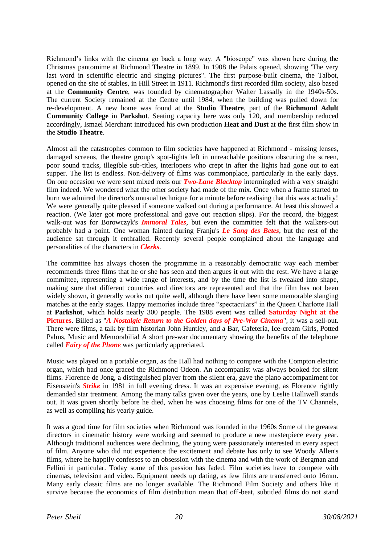Richmond's links with the cinema go back a long way. A "bioscope" was shown here during the Christmas pantomime at Richmond Theatre in 1899. In 1908 the Palais opened, showing 'The very last word in scientific electric and singing pictures". The first purpose-built cinema, the Talbot, opened on the site of stables, in Hill Street in 1911. Richmond's first recorded film society, also based at the **Community Centre**, was founded by cinematographer Walter Lassally in the 1940s-50s. The current Society remained at the Centre until 1984, when the building was pulled down for re-development. A new home was found at the **Studio Theatre**, part of the **Richmond Adult Community College** in **Parkshot**. Seating capacity here was only 120, and membership reduced accordingly, Ismael Merchant introduced his own production **Heat and Dust** at the first film show in the **Studio Theatre**.

Almost all the catastrophes common to film societies have happened at Richmond - missing lenses, damaged screens, the theatre group's spot-lights left in unreachable positions obscuring the screen, poor sound tracks, illegible sub-titles, interlopers who crept in after the lights had gone out to eat supper. The list is endless. Non-delivery of films was commonplace, particularly in the early days. On one occasion we were sent mixed reels our *Two-Lane Blacktop* intermingled with a very straight film indeed. We wondered what the other society had made of the mix. Once when a frame started to burn we admired the director's unusual technique for a minute before realising that this was actuality! We were generally quite pleased if someone walked out during a performance. At least this showed a reaction. (We later got more professional and gave out reaction slips). For the record, the biggest walk-out was for Borowczyk's *Immoral Tales*, but even the committee felt that the walkers-out probably had a point. One woman fainted during Franju's *Le Sang des Betes*, but the rest of the audience sat through it enthralled. Recently several people complained about the language and personalities of the characters in *Clerks*.

The committee has always chosen the programme in a reasonably democratic way each member recommends three films that he or she has seen and then argues it out with the rest. We have a large committee, representing a wide range of interests, and by the time the list is tweaked into shape, making sure that different countries and directors are represented and that the film has not been widely shown, it generally works out quite well, although there have been some memorable slanging matches at the early stages. Happy memories include three "spectaculars" in the Queen Charlotte Hall at **Parkshot**, which holds nearly 300 people. The 1988 event was called **Saturday Night at the Pictures**. Billed as "*A Nostalgic Return to the Golden days of Pre-War Cinema*", it was a sell-out. There were films, a talk by film historian John Huntley, and a Bar, Cafeteria, Ice-cream Girls, Potted Palms, Music and Memorabilia! A short pre-war documentary showing the benefits of the telephone called *Fairy of the Phone* was particularly appreciated.

Music was played on a portable organ, as the Hall had nothing to compare with the Compton electric organ, which had once graced the Richmond Odeon. An accompanist was always booked for silent films. Florence de Jong, a distinguished player from the silent era, gave the piano accompaniment for Eisenstein's *Strike* in 1981 in full evening dress. It was an expensive evening, as Florence rightly demanded star treatment. Among the many talks given over the years, one by Leslie Halliwell stands out. It was given shortly before he died, when he was choosing films for one of the TV Channels, as well as compiling his yearly guide.

It was a good time for film societies when Richmond was founded in the 1960s Some of the greatest directors in cinematic history were working and seemed to produce a new masterpiece every year. Although traditional audiences were declining, the young were passionately interested in every aspect of film. Anyone who did not experience the excitement and debate has only to see Woody Allen's films, where he happily confesses to an obsession with the cinema and with the work of Bergman and Fellini in particular. Today some of this passion has faded. Film societies have to compete with cinemas, television and video. Equipment needs up dating, as few films are transferred onto 16mm. Many early classic films are no longer available. The Richmond Film Society and others like it survive because the economics of film distribution mean that off-beat, subtitled films do not stand